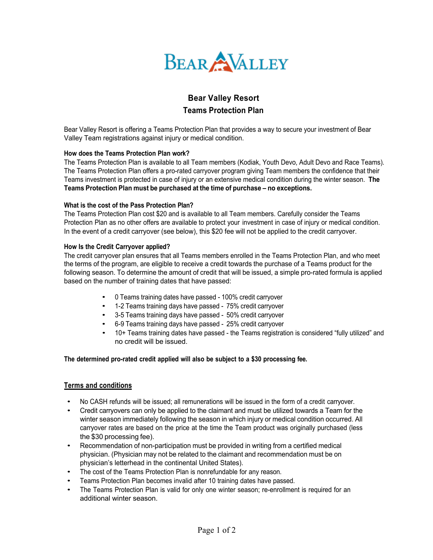

# **Bear Valley Resort**

# **Teams Protection Plan**

Bear Valley Resort is offering a Teams Protection Plan that provides a way to secure your investment of Bear Valley Team registrations against injury or medical condition.

#### **How does the Teams Protection Plan work?**

The Teams Protection Plan is available to all Team members (Kodiak, Youth Devo, Adult Devo and Race Teams). The Teams Protection Plan offers a pro-rated carryover program giving Team members the confidence that their Teams investment is protected in case of injury or an extensive medical condition during the winter season. **The Teams Protection Plan must be purchased at the time of purchase – no exceptions.**

#### **What is the cost of the Pass Protection Plan?**

The Teams Protection Plan cost \$20 and is available to all Team members. Carefully consider the Teams Protection Plan as no other offers are available to protect your investment in case of injury or medical condition. In the event of a credit carryover (see below), this \$20 fee will not be applied to the credit carryover.

#### **How Is the Credit Carryover applied?**

The credit carryover plan ensures that all Teams members enrolled in the Teams Protection Plan, and who meet the terms of the program, are eligible to receive a credit towards the purchase of a Teams product for the following season. To determine the amount of credit that will be issued, a simple pro-rated formula is applied based on the number of training dates that have passed:

- 0 Teams training dates have passed 100% credit carryover
- 1-2 Teams training days have passed 75% credit carryover
- 3-5 Teams training days have passed 50% credit carryover
- 6-9 Teams training days have passed 25% credit carryover
- 10+ Teams training dates have passed the Teams registration is considered "fully utilized" and no credit will be issued.

## **The determined pro-rated credit applied will also be subject to a \$30 processing fee.**

## **Terms and conditions**

- No CASH refunds will be issued; all remunerations will be issued in the form of a credit carryover.
- Credit carryovers can only be applied to the claimant and must be utilized towards a Team for the winter season immediately following the season in which injury or medical condition occurred. All carryover rates are based on the price at the time the Team product was originally purchased (less the \$30 processing fee).
- Recommendation of non-participation must be provided in writing from a certified medical physician. (Physician may not be related to the claimant and recommendation must be on physician's letterhead in the continental United States).
- The cost of the Teams Protection Plan is nonrefundable for any reason.
- Teams Protection Plan becomes invalid after 10 training dates have passed.
- The Teams Protection Plan is valid for only one winter season; re-enrollment is required for an additional winter season.